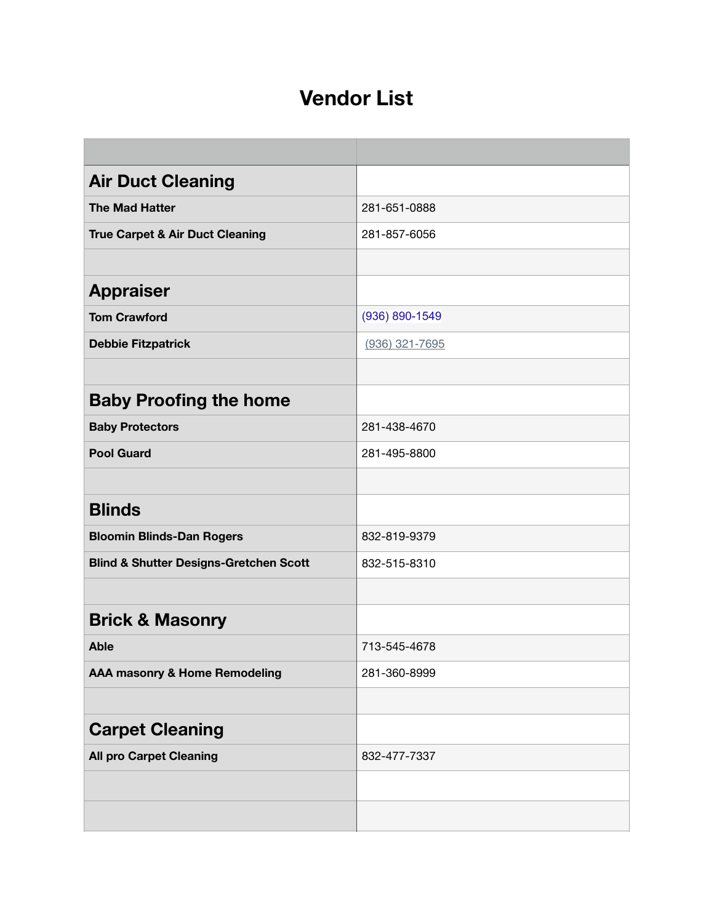## **Vendor List**

| <b>Air Duct Cleaning</b>                          |                |
|---------------------------------------------------|----------------|
| <b>The Mad Hatter</b>                             | 281-651-0888   |
| <b>True Carpet &amp; Air Duct Cleaning</b>        | 281-857-6056   |
|                                                   |                |
| <b>Appraiser</b>                                  |                |
| <b>Tom Crawford</b>                               | (936) 890-1549 |
| <b>Debbie Fitzpatrick</b>                         | (936) 321-7695 |
|                                                   |                |
| <b>Baby Proofing the home</b>                     |                |
| <b>Baby Protectors</b>                            | 281-438-4670   |
| <b>Pool Guard</b>                                 | 281-495-8800   |
|                                                   |                |
| <b>Blinds</b>                                     |                |
| <b>Bloomin Blinds-Dan Rogers</b>                  | 832-819-9379   |
| <b>Blind &amp; Shutter Designs-Gretchen Scott</b> | 832-515-8310   |
|                                                   |                |
| <b>Brick &amp; Masonry</b>                        |                |
| <b>Able</b>                                       | 713-545-4678   |
| AAA masonry & Home Remodeling                     | 281-360-8999   |
|                                                   |                |
| <b>Carpet Cleaning</b>                            |                |
| <b>All pro Carpet Cleaning</b>                    | 832-477-7337   |
|                                                   |                |
|                                                   |                |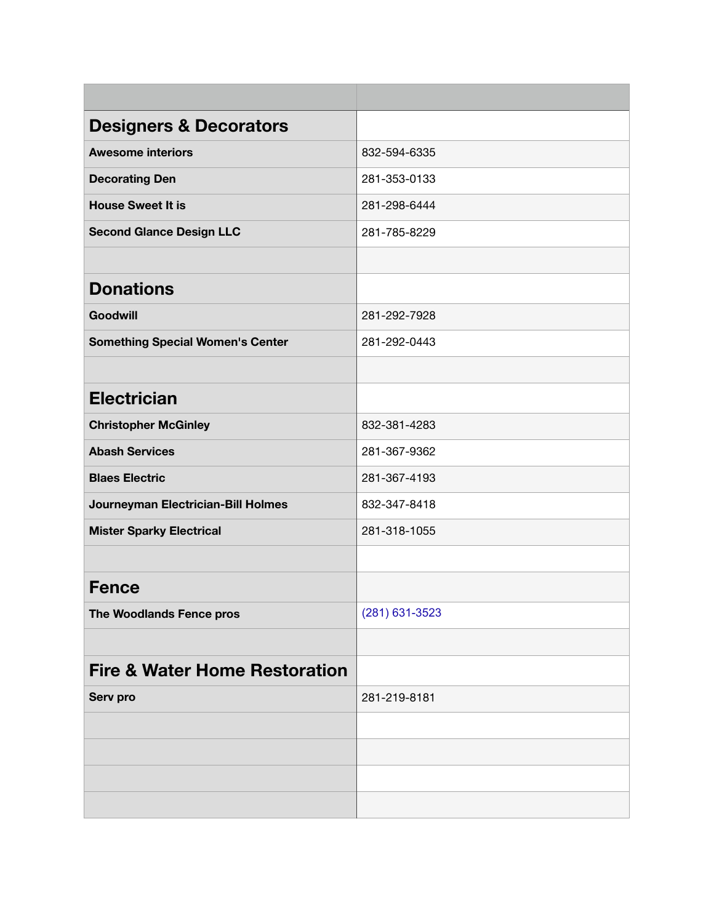| <b>Designers &amp; Decorators</b>        |                |
|------------------------------------------|----------------|
| <b>Awesome interiors</b>                 | 832-594-6335   |
| <b>Decorating Den</b>                    | 281-353-0133   |
| <b>House Sweet It is</b>                 | 281-298-6444   |
| <b>Second Glance Design LLC</b>          | 281-785-8229   |
|                                          |                |
| <b>Donations</b>                         |                |
| <b>Goodwill</b>                          | 281-292-7928   |
| <b>Something Special Women's Center</b>  | 281-292-0443   |
|                                          |                |
| <b>Electrician</b>                       |                |
| <b>Christopher McGinley</b>              | 832-381-4283   |
| <b>Abash Services</b>                    | 281-367-9362   |
| <b>Blaes Electric</b>                    | 281-367-4193   |
| Journeyman Electrician-Bill Holmes       | 832-347-8418   |
| <b>Mister Sparky Electrical</b>          | 281-318-1055   |
|                                          |                |
| <b>Fence</b>                             |                |
| The Woodlands Fence pros                 | (281) 631-3523 |
|                                          |                |
| <b>Fire &amp; Water Home Restoration</b> |                |
| Serv pro                                 | 281-219-8181   |
|                                          |                |
|                                          |                |
|                                          |                |
|                                          |                |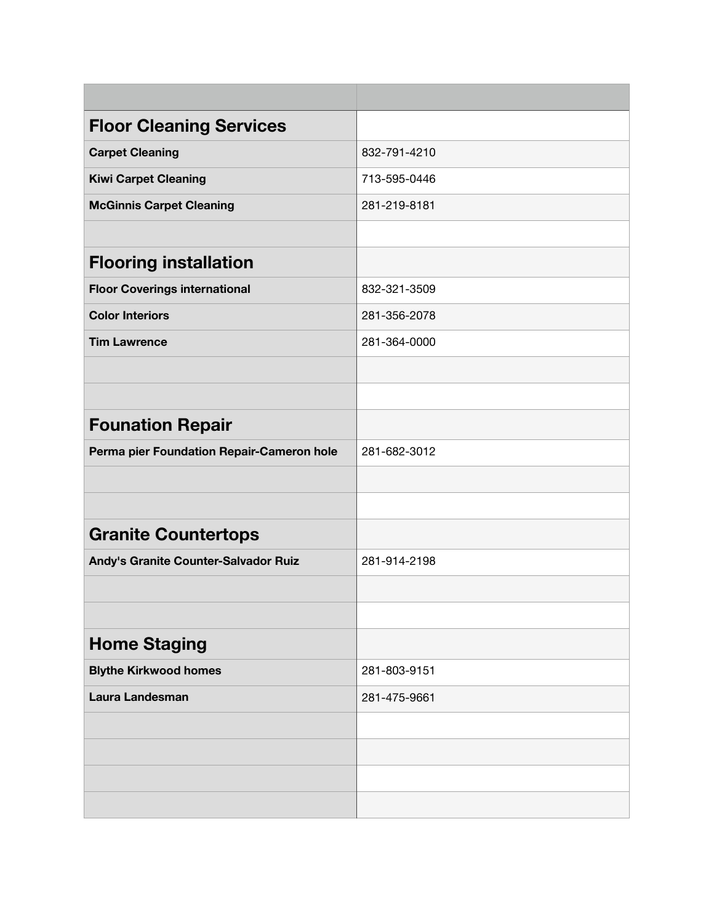| <b>Floor Cleaning Services</b>            |              |
|-------------------------------------------|--------------|
| <b>Carpet Cleaning</b>                    | 832-791-4210 |
| <b>Kiwi Carpet Cleaning</b>               | 713-595-0446 |
| <b>McGinnis Carpet Cleaning</b>           | 281-219-8181 |
|                                           |              |
| <b>Flooring installation</b>              |              |
| <b>Floor Coverings international</b>      | 832-321-3509 |
| <b>Color Interiors</b>                    | 281-356-2078 |
| <b>Tim Lawrence</b>                       | 281-364-0000 |
|                                           |              |
|                                           |              |
| <b>Founation Repair</b>                   |              |
| Perma pier Foundation Repair-Cameron hole | 281-682-3012 |
|                                           |              |
|                                           |              |
| <b>Granite Countertops</b>                |              |
| Andy's Granite Counter-Salvador Ruiz      | 281-914-2198 |
|                                           |              |
|                                           |              |
| <b>Home Staging</b>                       |              |
| <b>Blythe Kirkwood homes</b>              | 281-803-9151 |
| Laura Landesman                           | 281-475-9661 |
|                                           |              |
|                                           |              |
|                                           |              |
|                                           |              |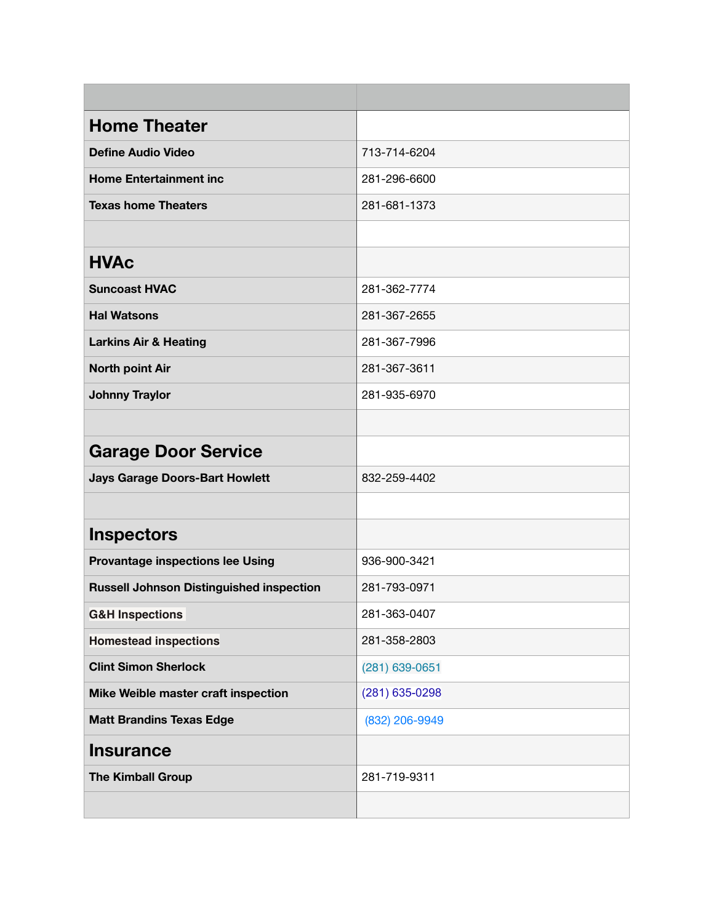| <b>Home Theater</b>                             |                |
|-------------------------------------------------|----------------|
| <b>Define Audio Video</b>                       | 713-714-6204   |
| <b>Home Entertainment inc</b>                   | 281-296-6600   |
| <b>Texas home Theaters</b>                      | 281-681-1373   |
|                                                 |                |
| <b>HVAc</b>                                     |                |
| <b>Suncoast HVAC</b>                            | 281-362-7774   |
| <b>Hal Watsons</b>                              | 281-367-2655   |
| <b>Larkins Air &amp; Heating</b>                | 281-367-7996   |
| <b>North point Air</b>                          | 281-367-3611   |
| <b>Johnny Traylor</b>                           | 281-935-6970   |
|                                                 |                |
| <b>Garage Door Service</b>                      |                |
| <b>Jays Garage Doors-Bart Howlett</b>           | 832-259-4402   |
|                                                 |                |
| <b>Inspectors</b>                               |                |
| <b>Provantage inspections lee Using</b>         | 936-900-3421   |
| <b>Russell Johnson Distinguished inspection</b> | 281-793-0971   |
| <b>G&amp;H Inspections</b>                      | 281-363-0407   |
| <b>Homestead inspections</b>                    | 281-358-2803   |
| <b>Clint Simon Sherlock</b>                     | (281) 639-0651 |
| Mike Weible master craft inspection             | (281) 635-0298 |
| <b>Matt Brandins Texas Edge</b>                 | (832) 206-9949 |
| <b>Insurance</b>                                |                |
| <b>The Kimball Group</b>                        | 281-719-9311   |
|                                                 |                |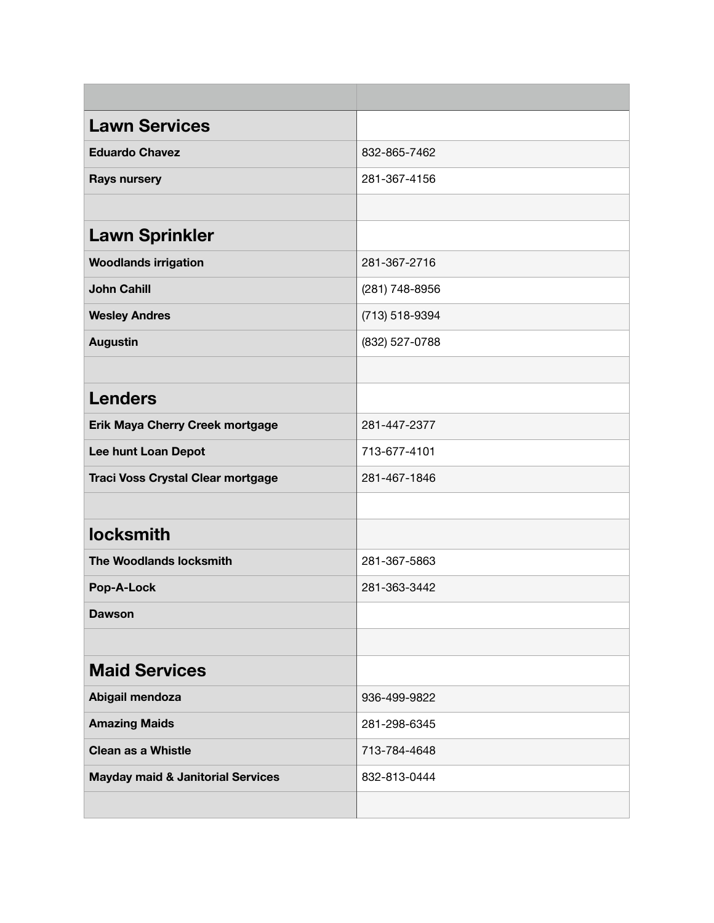| <b>Lawn Services</b>                         |                |
|----------------------------------------------|----------------|
| <b>Eduardo Chavez</b>                        | 832-865-7462   |
| <b>Rays nursery</b>                          | 281-367-4156   |
|                                              |                |
| <b>Lawn Sprinkler</b>                        |                |
| <b>Woodlands irrigation</b>                  | 281-367-2716   |
| <b>John Cahill</b>                           | (281) 748-8956 |
| <b>Wesley Andres</b>                         | (713) 518-9394 |
| <b>Augustin</b>                              | (832) 527-0788 |
|                                              |                |
| <b>Lenders</b>                               |                |
| Erik Maya Cherry Creek mortgage              | 281-447-2377   |
| Lee hunt Loan Depot                          | 713-677-4101   |
| <b>Traci Voss Crystal Clear mortgage</b>     | 281-467-1846   |
|                                              |                |
| <b>locksmith</b>                             |                |
| <b>The Woodlands locksmith</b>               | 281-367-5863   |
| Pop-A-Lock                                   | 281-363-3442   |
| <b>Dawson</b>                                |                |
|                                              |                |
| <b>Maid Services</b>                         |                |
| Abigail mendoza                              | 936-499-9822   |
| <b>Amazing Maids</b>                         | 281-298-6345   |
| <b>Clean as a Whistle</b>                    | 713-784-4648   |
| <b>Mayday maid &amp; Janitorial Services</b> | 832-813-0444   |
|                                              |                |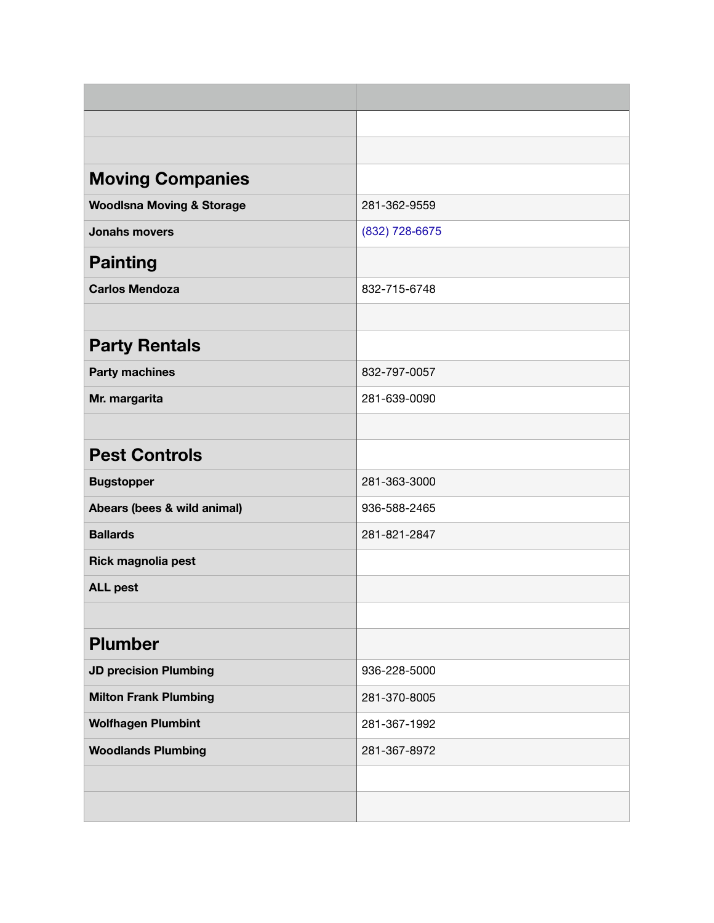| <b>Moving Companies</b>              |                |
|--------------------------------------|----------------|
| <b>Woodlsna Moving &amp; Storage</b> | 281-362-9559   |
| <b>Jonahs movers</b>                 | (832) 728-6675 |
| <b>Painting</b>                      |                |
| <b>Carlos Mendoza</b>                | 832-715-6748   |
|                                      |                |
| <b>Party Rentals</b>                 |                |
| <b>Party machines</b>                | 832-797-0057   |
| Mr. margarita                        | 281-639-0090   |
|                                      |                |
| <b>Pest Controls</b>                 |                |
| <b>Bugstopper</b>                    | 281-363-3000   |
| Abears (bees & wild animal)          | 936-588-2465   |
| <b>Ballards</b>                      | 281-821-2847   |
| Rick magnolia pest                   |                |
| <b>ALL pest</b>                      |                |
|                                      |                |
| <b>Plumber</b>                       |                |
| <b>JD precision Plumbing</b>         | 936-228-5000   |
| <b>Milton Frank Plumbing</b>         | 281-370-8005   |
| <b>Wolfhagen Plumbint</b>            | 281-367-1992   |
| <b>Woodlands Plumbing</b>            | 281-367-8972   |
|                                      |                |
|                                      |                |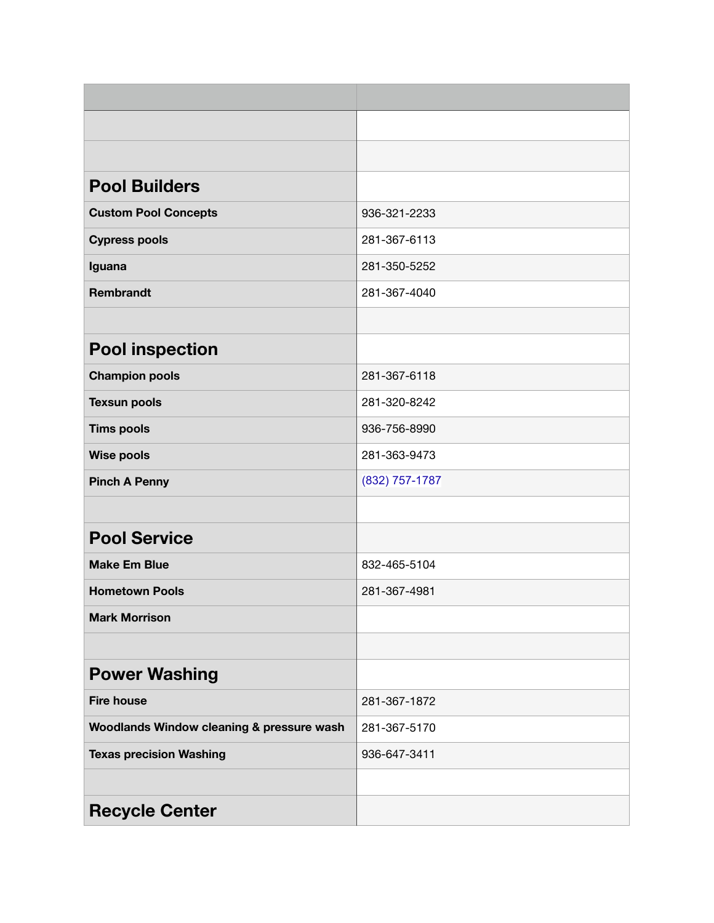| <b>Pool Builders</b>                      |                |
|-------------------------------------------|----------------|
| <b>Custom Pool Concepts</b>               | 936-321-2233   |
| <b>Cypress pools</b>                      | 281-367-6113   |
| Iguana                                    | 281-350-5252   |
| <b>Rembrandt</b>                          | 281-367-4040   |
|                                           |                |
| <b>Pool inspection</b>                    |                |
| <b>Champion pools</b>                     | 281-367-6118   |
| <b>Texsun pools</b>                       | 281-320-8242   |
| <b>Tims pools</b>                         | 936-756-8990   |
| <b>Wise pools</b>                         | 281-363-9473   |
| <b>Pinch A Penny</b>                      | (832) 757-1787 |
|                                           |                |
| <b>Pool Service</b>                       |                |
| <b>Make Em Blue</b>                       | 832-465-5104   |
| <b>Hometown Pools</b>                     | 281-367-4981   |
| <b>Mark Morrison</b>                      |                |
|                                           |                |
| <b>Power Washing</b>                      |                |
| <b>Fire house</b>                         | 281-367-1872   |
| Woodlands Window cleaning & pressure wash | 281-367-5170   |
| <b>Texas precision Washing</b>            | 936-647-3411   |
|                                           |                |
| <b>Recycle Center</b>                     |                |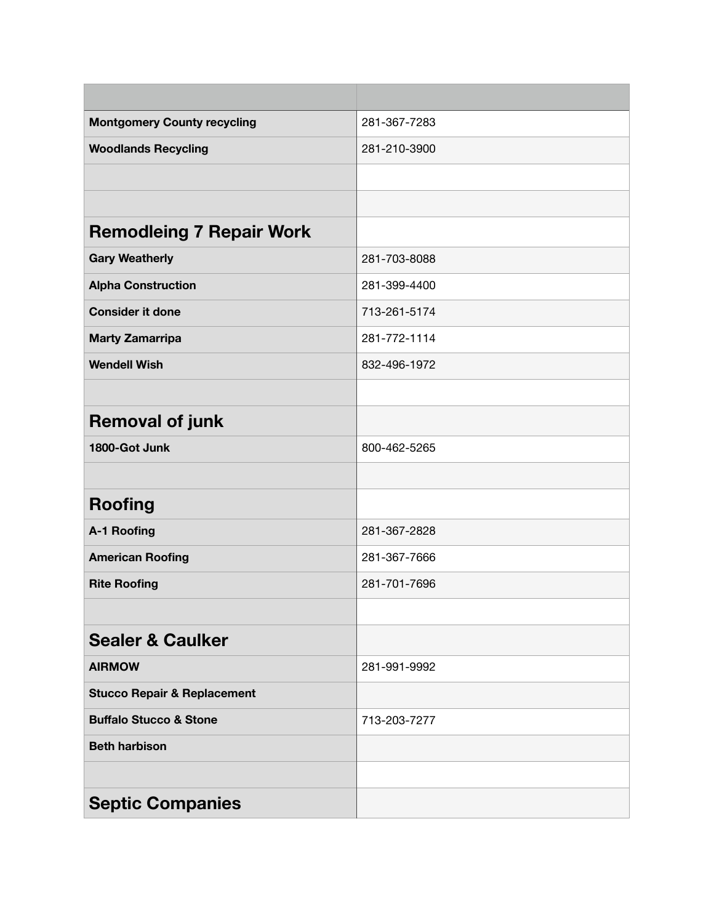| <b>Montgomery County recycling</b>     | 281-367-7283 |
|----------------------------------------|--------------|
| <b>Woodlands Recycling</b>             | 281-210-3900 |
|                                        |              |
|                                        |              |
| <b>Remodleing 7 Repair Work</b>        |              |
| <b>Gary Weatherly</b>                  | 281-703-8088 |
| <b>Alpha Construction</b>              | 281-399-4400 |
| <b>Consider it done</b>                | 713-261-5174 |
| <b>Marty Zamarripa</b>                 | 281-772-1114 |
| <b>Wendell Wish</b>                    | 832-496-1972 |
|                                        |              |
| <b>Removal of junk</b>                 |              |
| 1800-Got Junk                          | 800-462-5265 |
|                                        |              |
| <b>Roofing</b>                         |              |
| A-1 Roofing                            | 281-367-2828 |
| <b>American Roofing</b>                | 281-367-7666 |
| <b>Rite Roofing</b>                    | 281-701-7696 |
|                                        |              |
| <b>Sealer &amp; Caulker</b>            |              |
| <b>AIRMOW</b>                          | 281-991-9992 |
| <b>Stucco Repair &amp; Replacement</b> |              |
| <b>Buffalo Stucco &amp; Stone</b>      | 713-203-7277 |
| <b>Beth harbison</b>                   |              |
|                                        |              |
| <b>Septic Companies</b>                |              |